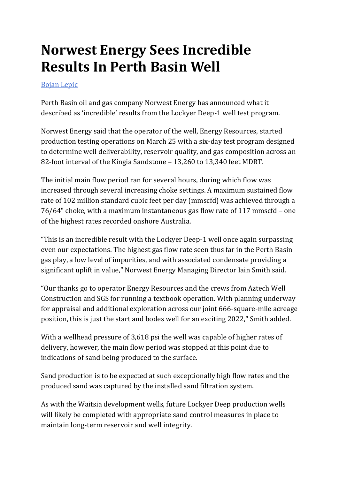## **Norwest Energy Sees Incredible Results In Perth Basin Well**

## [Bojan Lepic](/news/Author/77/BojanLepic/)

Perth Basin oil and gas company Norwest Energy has announced what it described as 'incredible' results from the Lockyer Deep-1 well test program.

Norwest Energy said that the operator of the well, Energy Resources, started production testing operations on March 25 with a six-day test program designed to determine well deliverability, reservoir quality, and gas composition across an 82-foot interval of the Kingia Sandstone – 13,260 to 13,340 feet MDRT.

The initial main flow period ran for several hours, during which flow was increased through several increasing choke settings. A maximum sustained flow rate of 102 million standard cubic feet per day (mmscfd) was achieved through a 76/64" choke, with a maximum instantaneous gas flow rate of 117 mmscfd – one of the highest rates recorded onshore Australia.

"This is an incredible result with the Lockyer Deep-1 well once again surpassing even our expectations. The highest gas flow rate seen thus far in the Perth Basin gas play, a low level of impurities, and with associated condensate providing a significant uplift in value," Norwest Energy Managing Director Iain Smith said.

"Our thanks go to operator Energy Resources and the crews from Aztech Well Construction and SGS for running a textbook operation. With planning underway for appraisal and additional exploration across our joint 666-square-mile acreage position, this is just the start and bodes well for an exciting 2022," Smith added.

With a wellhead pressure of 3,618 psi the well was capable of higher rates of delivery, however, the main flow period was stopped at this point due to indications of sand being produced to the surface.

Sand production is to be expected at such exceptionally high flow rates and the produced sand was captured by the installed sand filtration system.

As with the Waitsia development wells, future Lockyer Deep production wells will likely be completed with appropriate sand control measures in place to maintain long-term reservoir and well integrity.